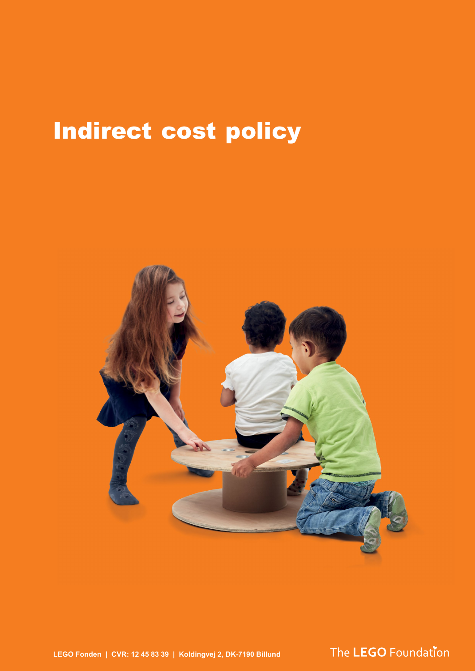# Indirect cost policy



**LEGO Fonden | CVR: 12 45 83 39 | Koldingvej 2, DK-7190 Billund**

The LEGO Foundation